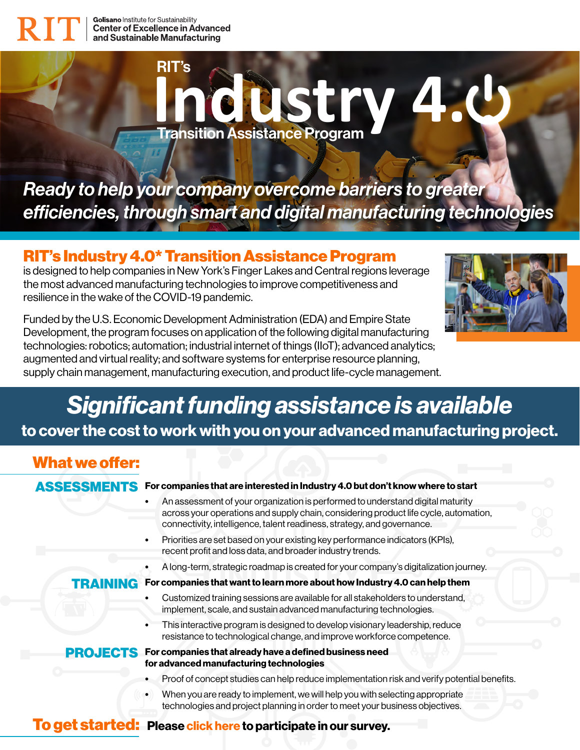# **Industry 4.** Transition Assistance Program RIT's

*Ready to help your company overcome barriers to greater efficiencies, through smart and digital manufacturing technologies*

### RIT's Industry 4.0\* Transition Assistance Program

is designed to help companies in New York's Finger Lakes and Central regions leverage the most advanced manufacturing technologies to improve competitiveness and resilience in the wake of the COVID-19 pandemic.



Funded by the U.S. Economic Development Administration (EDA) and Empire State Development, the program focuses on application of the following digital manufacturing technologies: robotics; automation; industrial internet of things (IIoT); advanced analytics; augmented and virtual reality; and software systems for enterprise resource planning, supply chain management, manufacturing execution, and product life-cycle management.

### *Significant funding assistance is available* to cover the cost to work with you on your advanced manufacturing project.

### What we offer:

#### ASSESSMENTS For companies that are interested in Industry 4.0 but don't know where to start

- An assessment of your organization is performed to understand digital maturity across your operations and supply chain, considering product life cycle, automation, connectivity, intelligence, talent readiness, strategy, and governance.
- Priorities are set based on your existing key performance indicators (KPIs), recent profit and loss data, and broader industry trends.
- A long-term, strategic roadmap is created for your company's digitalization journey.

#### TRAINING For companies that want to learn more about how Industry 4.0 can help them

- Customized training sessions are available for all stakeholders to understand, implement, scale, and sustain advanced manufacturing technologies.
- This interactive program is designed to develop visionary leadership, reduce resistance to technological change, and improve workforce competence.

#### PROJECTS For companies that already have a defined business need for advanced manufacturing technologies

- Proof of concept studies can help reduce implementation risk and verify potential benefits.
- When you are ready to implement, we will help you with selecting appropriate technologies and project planning in order to meet your business objectives.

### To get started: Please [click here](https://rit.az1.qualtrics.com/jfe/preview/SV_42QjdzJ3TvGRouq?Q_CHL=preview&Q_SurveyVersionID=current) to participate in our survey.